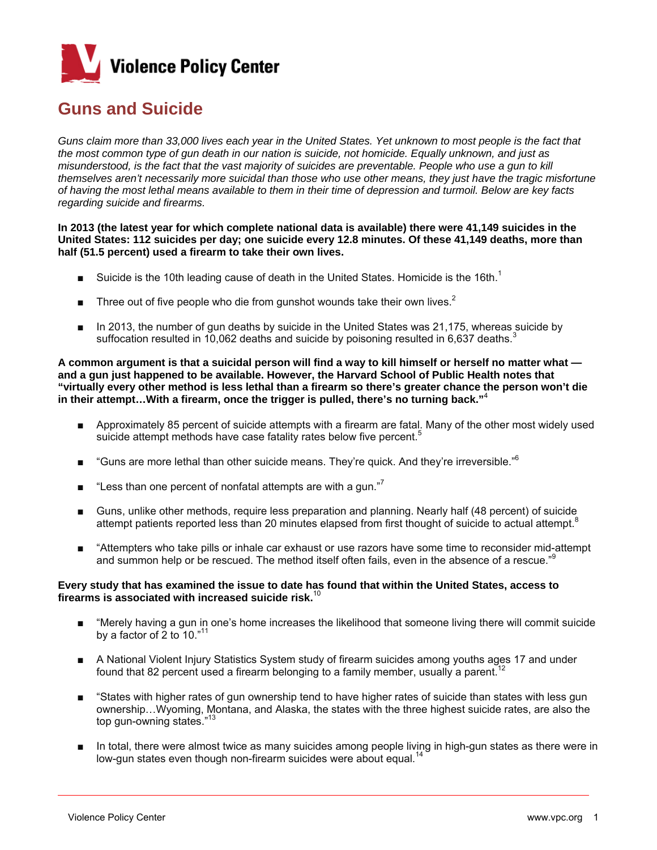

## **Guns and Suicide**

Guns claim more than 33,000 lives each year in the United States. Yet unknown to most people is the fact that *the most common type of gun death in our nation is suicide, not homicide. Equally unknown, and just as misunderstood, is the fact that the vast majority of suicides are preventable. People who use a gun to kill themselves aren't necessarily more suicidal than those who use other means, they just have the tragic misfortune of having the most lethal means available to them in their time of depression and turmoil. Below are key facts regarding suicide and firearms.* 

**In 2013 (the latest year for which complete national data is available) there were 41,149 suicides in the United States: 112 suicides per day; one suicide every 12.8 minutes. Of these 41,149 deaths, more than half (51.5 percent) used a firearm to take their own lives.** 

- **■** Suicide is the 10th leading cause of death in the United States. Homicide is the 16th.<sup>1</sup>
- **■** Three out of five people who die from gunshot wounds take their own lives.<sup>2</sup>
	- In 2013, the number of gun deaths by suicide in the United States was 21,175, whereas suicide by suffocation resulted in 10,062 deaths and suicide by poisoning resulted in 6,637 deaths.

**A common argument is that a suicidal person will find a way to kill himself or herself no matter what and a gun just happened to be available. However, the Harvard School of Public Health notes that "virtually every other method is less lethal than a firearm so there's greater chance the person won't die in their attempt…With a firearm, once the trigger is pulled, there's no turning back."**<sup>4</sup> 

- Approximately 85 percent of suicide attempts with a firearm are fatal. Many of the other most widely used suicide attempt methods have case fatality rates below five percent.<sup>5</sup>
- $\blacksquare$  "Guns are more lethal than other suicide means. They're quick. And they're irreversible."<sup>6</sup>
- **■** "Less than one percent of nonfatal attempts are with a gun."<sup>7</sup>
	- Guns, unlike other methods, require less preparation and planning. Nearly half (48 percent) of suicide attempt patients reported less than 20 minutes elapsed from first thought of suicide to actual attempt.<sup>8</sup>
	- "Attempters who take pills or inhale car exhaust or use razors have some time to reconsider mid-attempt and summon help or be rescued. The method itself often fails, even in the absence of a rescue."

## **Every study that has examined the issue to date has found that within the United States, access to firearms is associated with increased suicide risk.**<sup>10</sup>

- "Merely having a gun in one's home increases the likelihood that someone living there will commit suicide by a factor of 2 to 10."11
- A National Violent Injury Statistics System study of firearm suicides among youths ages 17 and under found that 82 percent used a firearm belonging to a family member, usually a parent.<sup>1</sup>
- "States with higher rates of gun ownership tend to have higher rates of suicide than states with less gun ownership…Wyoming, Montana, and Alaska, the states with the three highest suicide rates, are also the top gun-owning states."
- In total, there were almost twice as many suicides among people living in high-gun states as there were in low-gun states even though non-firearm suicides were about equal. $1/2$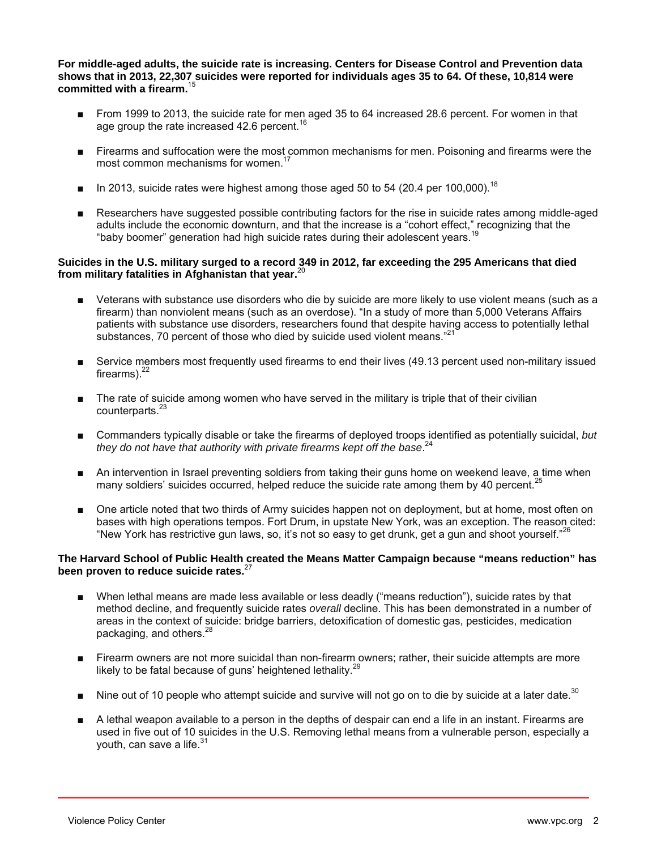**For middle-aged adults, the suicide rate is increasing. Centers for Disease Control and Prevention data shows that in 2013, 22,307 suicides were reported for individuals ages 35 to 64. Of these, 10,814 were committed with a firearm.**<sup>15</sup>

- From 1999 to 2013, the suicide rate for men aged 35 to 64 increased 28.6 percent. For women in that age group the rate increased  $42.6$  percent.<sup>16</sup>
- Firearms and suffocation were the most common mechanisms for men. Poisoning and firearms were the most common mechanisms for women.<sup>17</sup>
- $\blacksquare$  In 2013, suicide rates were highest among those aged 50 to 54 (20.4 per 100.000).<sup>18</sup>
- Researchers have suggested possible contributing factors for the rise in suicide rates among middle-aged adults include the economic downturn, and that the increase is a "cohort effect," recognizing that the "baby boomer" generation had high suicide rates during their adolescent years.<sup>19</sup>

## **Suicides in the U.S. military surged to a record 349 in 2012, far exceeding the 295 Americans that died from military fatalities in Afghanistan that year.**<sup>20</sup>

- Veterans with substance use disorders who die by suicide are more likely to use violent means (such as a firearm) than nonviolent means (such as an overdose). "In a study of more than 5,000 Veterans Affairs patients with substance use disorders, researchers found that despite having access to potentially lethal substances, 70 percent of those who died by suicide used violent means."<sup>2</sup>
- Service members most frequently used firearms to end their lives (49.13 percent used non-military issued firearms). $^{22}$
- The rate of suicide among women who have served in the military is triple that of their civilian counterparts.<sup>2</sup>
- Commanders typically disable or take the firearms of deployed troops identified as potentially suicidal, *but they do not have that authority with private firearms kept off the base*. 24
- An intervention in Israel preventing soldiers from taking their guns home on weekend leave, a time when many soldiers' suicides occurred, helped reduce the suicide rate among them by 40 percent.<sup>2</sup>
- One article noted that two thirds of Army suicides happen not on deployment, but at home, most often on bases with high operations tempos. Fort Drum, in upstate New York, was an exception. The reason cited: "New York has restrictive gun laws, so, it's not so easy to get drunk, get a gun and shoot yourself."<sup>26</sup>

## **The Harvard School of Public Health created the Means Matter Campaign because "means reduction" has been proven to reduce suicide rates.**<sup>27</sup>

- When lethal means are made less available or less deadly ("means reduction"), suicide rates by that method decline, and frequently suicide rates *overall* decline. This has been demonstrated in a number of areas in the context of suicide: bridge barriers, detoxification of domestic gas, pesticides, medication packaging, and others.<sup>28</sup>
- Firearm owners are not more suicidal than non-firearm owners; rather, their suicide attempts are more likely to be fatal because of guns' heightened lethality.<sup>29</sup>
- Nine out of 10 people who attempt suicide and survive will not go on to die by suicide at a later date.<sup>30</sup>
- A lethal weapon available to a person in the depths of despair can end a life in an instant. Firearms are used in five out of 10 suicides in the U.S. Removing lethal means from a vulnerable person, especially a youth, can save a life. $31$